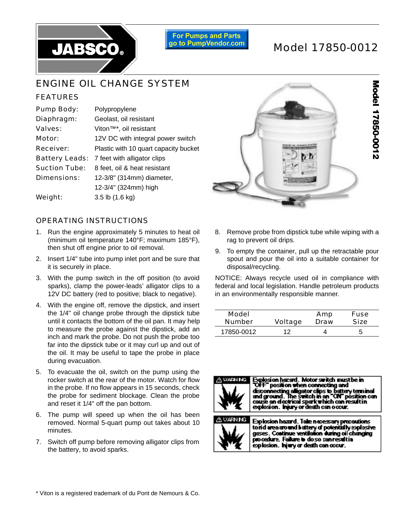

**For Pumps and Parts** go to PumpVendor.com

# Model 17850-0012

## ENGINE OIL CHANGE SYSTEM

### FEATURES

| <b>Pump Body:</b>     | Polypropylene                         |  |  |
|-----------------------|---------------------------------------|--|--|
| Diaphragm:            | Geolast, oil resistant                |  |  |
| Valves:               | Viton <sup>™*</sup> , oil resistant   |  |  |
| Motor:                | 12V DC with integral power switch     |  |  |
| <b>Receiver:</b>      | Plastic with 10 quart capacity bucket |  |  |
| <b>Battery Leads:</b> | 7 feet with alligator clips           |  |  |
| <b>Suction Tube:</b>  | 8 feet, oil & heat resistant          |  |  |
| <b>Dimensions:</b>    | 12-3/8" (314mm) diameter,             |  |  |
|                       | 12-3/4" (324mm) high                  |  |  |
| Weight:               | $3.5$ lb $(1.6$ kg)                   |  |  |

#### OPERATING INSTRUCTIONS

- 1. Run the engine approximately 5 minutes to heat oil (minimum oil temperature 140°F; maximum 185°F), then shut off engine prior to oil removal.
- 2. Insert 1/4" tube into pump inlet port and be sure that it is securely in place.
- 3. With the pump switch in the off position (to avoid sparks), clamp the power-leads' alligator clips to a 12V DC battery (red to positive; black to negative).
- 4. With the engine off, remove the dipstick, and insert the 1/4" oil change probe through the dipstick tube until it contacts the bottom of the oil pan. It may help to measure the probe against the dipstick, add an inch and mark the probe. Do not push the probe too far into the dipstick tube or it may curl up and out of the oil. It may be useful to tape the probe in place during evacuation.
- 5. To evacuate the oil, switch on the pump using the rocker switch at the rear of the motor. Watch for flow in the probe. If no flow appears in 15 seconds, check the probe for sediment blockage. Clean the probe and reset it 1/4" off the pan bottom.
- 6. The pump will speed up when the oil has been removed. Normal 5-quart pump out takes about 10 minutes.
- 7. Switch off pump before removing alligator clips from the battery, to avoid sparks.



- 8. Remove probe from dipstick tube while wiping with a rag to prevent oil drips.
- 9. To empty the container, pull up the retractable pour spout and pour the oil into a suitable container for disposal/recycling.

NOTICE: Always recycle used oil in compliance with federal and local legislation. Handle petroleum products in an environmentally responsible manner.

| <b>Model</b>  | <b>Voltage</b> | Amp  | <b>Fuse</b> |
|---------------|----------------|------|-------------|
| <b>Number</b> |                | Draw | Size        |
| 17850-0012    | 12             |      | 5           |